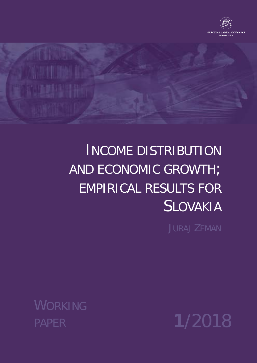

# INCOME DISTRIBUTION AND ECONOMIC GROWTH; EMPIRICAL RESULTS FOR SLOVAKIA

JURAJ ZEMAN

PAPER **1**/2018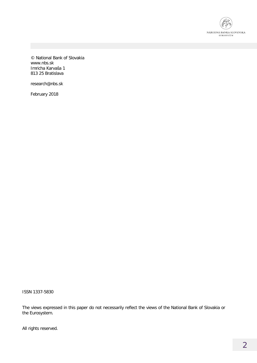

© National Bank of Slovakia www.nbs.sk Imricha Karvaša 1 813 25 Bratislava

research@nbs.sk

February 2018

ISSN 1337-5830

The views expressed in this paper do not necessarily reflect the views of the National Bank of Slovakia or the Eurosystem.

All rights reserved.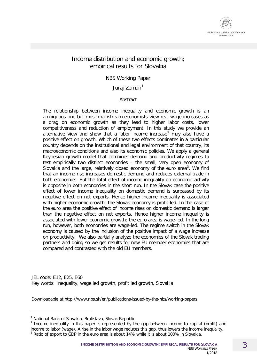

#### Income distribution and economic growth; empirical results for Slovakia

NBS Working Paper

Jurai Zeman<sup>[1](#page-2-0)</sup>

Abstract

The relationship between income inequality and economic growth is an ambiguous one but most mainstream economists view real wage increases as a drag on economic growth as they lead to higher labor costs, lower competitiveness and reduction of employment. In this study we provide an alternative view and show that a labor income increase<sup>[2](#page-2-1)</sup> may also have a positive effect on growth. Which of these two effects dominates in a particular country depends on the institutional and legal environment of that country, its macroeconomic conditions and also its economic policies. We apply a general Keynesian growth model that combines demand and productivity regimes to test empirically two distinct economies – the small, very open economy of Slovakia and the large, relatively closed economy of the euro area<sup>[3](#page-2-2)</sup>. We find that an income rise increases domestic demand and reduces external trade in both economies. But the total effect of income inequality on economic activity is opposite in both economies in the short run. In the Slovak case the positive effect of lower income inequality on domestic demand is surpassed by its negative effect on net exports. Hence higher income inequality is associated with higher economic growth; the Slovak economy is profit-led. In the case of the euro area the positive effect of income rises on domestic demand is larger than the negative effect on net exports. Hence higher income inequality is associated with lower economic growth; the euro area is wage-led. In the long run, however, both economies are wage-led. The regime switch in the Slovak economy is caused by the inclusion of the positive impact of a wage increase on productivity. We also partially analyze the economies of the Slovak trading partners and doing so we get results for new EU member economies that are compared and contrasted with the old EU members.

JEL code: E12, E25, E60 Key words: Inequality, wage led growth, profit led growth, Slovakia

Downloadable at http://www.nbs.sk/en/publications-issued-by-the-nbs/working-papers

-

<span id="page-2-2"></span><span id="page-2-1"></span><sup>2</sup> Income inequality in this paper is represented by the gap between income to capital (profit) and income to labor (wage). A rise in the labor wage reduces this gap, thus lowers the income inequality. <sup>3</sup> Ratio of export to GDP in the euro area is about 14% while it is about 100% in Slovakia.

<span id="page-2-0"></span><sup>&</sup>lt;sup>1</sup> National Bank of Slovakia, Bratislava, Slovak Republic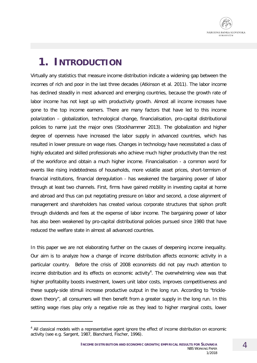

# **1. INTRODUCTION**

Virtually any statistics that measure income distribution indicate a widening gap between the incomes of rich and poor in the last three decades (Atkinson et al. 2011). The labor income has declined steadily in most advanced and emerging countries, because the growth rate of labor income has not kept up with productivity growth. Almost all income increases have gone to the top income earners. There are many factors that have led to this income polarization – globalization, technological change, financialisation, pro-capital distributional policies to name just the major ones (Stockhammer 2013). The globalization and higher degree of openness have increased the labor supply in advanced countries, which has resulted in lower pressure on wage rises. Changes in technology have necessitated a class of highly educated and skilled professionals who achieve much higher productivity than the rest of the workforce and obtain a much higher income. Financialisation - a common word for events like rising indebtedness of households, more volatile asset prices, short-termism of financial institutions, financial deregulation - has weakened the bargaining power of labor through at least two channels. First, firms have gained mobility in investing capital at home and abroad and thus can put negotiating pressure on labor and second, a close alignment of management and shareholders has created various corporate structures that siphon profit through dividends and fees at the expense of labor income. The bargaining power of labor has also been weakened by pro-capital distributional policies pursued since 1980 that have reduced the welfare state in almost all advanced countries.

In this paper we are not elaborating further on the causes of deepening income inequality. Our aim is to analyze how a change of income distribution affects economic activity in a particular country. Before the crisis of 2008 economists did not pay much attention to income distribution and its effects on economic activity<sup>[4](#page-3-0)</sup>. The overwhelming view was that higher profitability boosts investment, lowers unit labor costs, improves competitiveness and these supply-side stimuli increase productive output in the long run. According to "trickledown theory", all consumers will then benefit from a greater supply in the long run. In this setting wage rises play only a negative role as they lead to higher marginal costs, lower

-

<span id="page-3-0"></span><sup>&</sup>lt;sup>4</sup> All classical models with a representative agent ignore the effect of income distribution on economic activity (see e.g. Sargent, 1987, Blanchard, Fischer, 1996).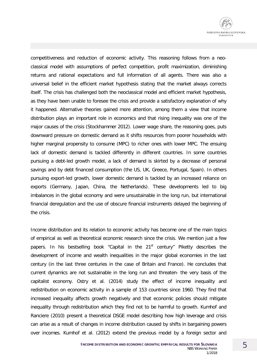

competitiveness and reduction of economic activity. This reasoning follows from a neoclassical model with assumptions of perfect competition, profit maximization, diminishing returns and rational expectations and full information of all agents. There was also a universal belief in the efficient market hypothesis stating that the market always corrects itself. The crisis has challenged both the neoclassical model and efficient market hypothesis, as they have been unable to foresee the crisis and provide a satisfactory explanation of why it happened. Alternative theories gained more attention, among them a view that income distribution plays an important role in economics and that rising inequality was one of the major causes of the crisis (Stockhammer 2012). Lower wage share, the reasoning goes, puts downward pressure on domestic demand as it shifts resources from poorer households with higher marginal propensity to consume (MPC) to richer ones with lower MPC. The ensuing lack of domestic demand is tackled differently in different countries. In some countries pursuing a debt-led growth model, a lack of demand is skirted by a decrease of personal savings and by debt financed consumption (the US, UK, Greece, Portugal, Spain). In others pursuing export-led growth, lower domestic demand is tackled by an increased reliance on exports (Germany, Japan, China, the Netherlands). These developments led to big imbalances in the global economy and were unsustainable in the long run, but international financial deregulation and the use of obscure financial instruments delayed the beginning of the crisis.

Income distribution and its relation to economic activity has become one of the main topics of empirical as well as theoretical economic research since the crisis. We mention just a few papers. In his bestselling book "Capital in the  $21<sup>st</sup>$  century" Piketty describes the development of income and wealth inequalities in the major global economies in the last century (in the last three centuries in the case of Britain and France). He concludes that current dynamics are not sustainable in the long run and threaten- the very basis of the capitalist economy. Ostry et al. (2014) study the effect of income inequality and redistribution on economic activity in a sample of 153 countries since 1960. They find that increased inequality affects growth negatively and that economic policies should mitigate inequality through redistribution which they find not to be harmful to growth. Kumhof and Ranciere (2010) present a theoretical DSGE model describing how high leverage and crisis can arise as a result of changes in income distribution caused by shifts in bargaining powers over incomes. Kumhof et al. (2012) extend the previous model by a foreign sector and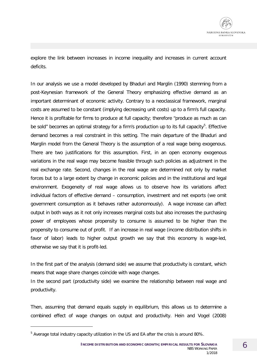explore the link between increases in income inequality and increases in current account deficits.

In our analysis we use a model developed by Bhaduri and Marglin (1990) stemming from a post-Keynesian framework of the General Theory emphasizing effective demand as an important determinant of economic activity. Contrary to a neoclassical framework, marginal costs are assumed to be constant (implying decreasing unit costs) up to a firm's full capacity. Hence it is profitable for firms to produce at full capacity; therefore "produce as much as can be sold" becomes an optimal strategy for a firm's production up to its full capacity<sup>[5](#page-5-0)</sup>. Effective demand becomes a real constraint in this setting. The main departure of the Bhaduri and Marglin model from the General Theory is the assumption of a real wage being exogenous. There are two justifications for this assumption. First, in an open economy exogenous variations in the real wage may become feasible through such policies as adjustment in the real exchange rate. Second, changes in the real wage are determined not only by market forces but to a large extent by change in economic policies and in the institutional and legal environment. Exogeneity of real wage allows us to observe how its variations affect individual factors of effective demand – consumption, investment and net exports (we omit government consumption as it behaves rather autonomously). A wage increase can affect output in both ways as it not only increases marginal costs but also increases the purchasing power of employees whose propensity to consume is assumed to be higher than the propensity to consume out of profit. If an increase in real wage (income distribution shifts in favor of labor) leads to higher output growth we say that this economy is wage-led, otherwise we say that it is profit-led.

In the first part of the analysis (demand side) we assume that productivity is constant, which means that wage share changes coincide with wage changes.

In the second part (productivity side) we examine the relationship between real wage and productivity.

Then, assuming that demand equals supply in equilibrium, this allows us to determine a combined effect of wage changes on output and productivity. Hein and Vogel (2008)

-

<span id="page-5-0"></span><sup>5</sup> Average total industry capacity utilization in the US and EA after the crisis is around 80%.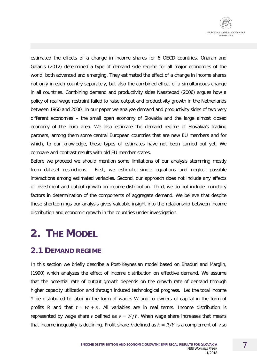estimated the effects of a change in income shares for 6 OECD countries. Onaran and Galanis (2012) determined a type of demand side regime for all major economies of the world, both advanced and emerging. They estimated the effect of a change in income shares not only in each country separately, but also the combined effect of a simultaneous change in all countries. Combining demand and productivity sides Naastepad (2006) argues how a policy of real wage restraint failed to raise output and productivity growth in the Netherlands between 1960 and 2000. In our paper we analyze demand and productivity sides of two very different economies – the small open economy of Slovakia and the large almost closed economy of the euro area. We also estimate the demand regime of Slovakia's trading partners, among them some central European countries that are new EU members and for which, to our knowledge, these types of estimates have not been carried out yet. We compare and contrast results with old EU member states.

Before we proceed we should mention some limitations of our analysis stemming mostly from dataset restrictions. First, we estimate single equations and neglect possible interactions among estimated variables. Second, our approach does not include any effects of investment and output growth on income distribution. Third, we do not include monetary factors in determination of the components of aggregate demand. We believe that despite these shortcomings our analysis gives valuable insight into the relationship between income distribution and economic growth in the countries under investigation.

# **2. THE MODEL**

### **2.1 DEMAND REGIME**

In this section we briefly describe a Post-Keynesian model based on Bhaduri and Marglin, (1990) which analyzes the effect of income distribution on effective demand. We assume that the potential rate of output growth depends on the growth rate of demand through higher capacity utilization and through induced technological progress. Let the total income Y be distributed to labor in the form of wages W and to owners of capital in the form of profits R and that  $Y = W + R$ . All variables are in real terms. Income distribution is represented by wage share v defined as  $v = W/Y$ . When wage share increases that means that income inequality is declining. Profit share h defined as  $h = R/Y$  is a complement of v so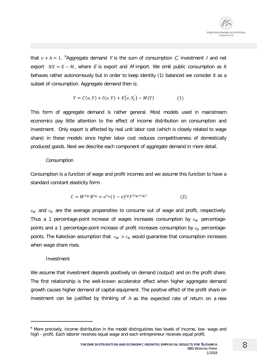

that  $v + h = 1$ . <sup>[6](#page-7-0)</sup>Aggregate demand Y is the sum of consumption C, investment I and net export  $NX = E - M$ , where E is export and M import. We omit public consumption as it behaves rather autonomously but in order to keep identity (1) balanced we consider it as a subset of consumption. Aggregate demand then is:

$$
Y = C(v, Y) + I(v, Y) + E(v, Y_f) - M(Y)
$$
 (1)

This form of aggregate demand is rather general. Most models used in mainstream economics pay little attention to the effect of income distribution on consumption and investment. Only export is affected by real unit labor cost (which is closely related to wage share) in these models since higher labor cost reduces competitiveness of domestically produced goods. Next we describe each component of aggregate demand in more detail.

#### Consumption

Consumption is a function of wage and profit incomes and we assume this function to have a standard constant elasticity form:

$$
C = W^{c_W} R^{c_R} = v^{c_W} (1 - v)^{c_R} Y^{(c_W + c_R)}
$$
 (2)

 $c_W$  and  $c_R$  are the average propensities to consume out of wage and profit, respectively. Thus a 1 percentage-point increase of wages increases consumption by  $c_W$  percentagepoints and a 1 percentage-point increase of profit increases consumption by  $c_R$  percentagepoints. The Kaleckian assumption that  $c_W > c_R$  would guarantee that consumption increases when wage share rises.

#### Investment

-

We assume that investment depends positively on demand (output) and on the profit share. The first relationship is the well-known accelerator effect when higher aggregate demand growth causes higher demand of capital equipment. The positive effect of the profit share on investment can be justified by thinking of  $h$  as the expected rate of return on a new

<span id="page-7-0"></span><sup>&</sup>lt;sup>6</sup> More precisely, income distribution in the model distinguishes two levels of income, low- wage and high - profit. Each laborer receives equal wage and each entrepreneur receives equal profit.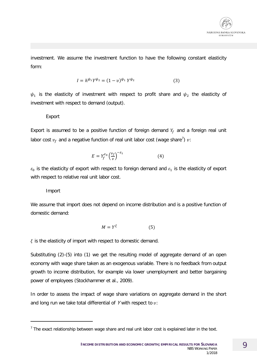

investment. We assume the investment function to have the following constant elasticity form:

$$
I = h^{\psi_1} Y^{\psi_2} = (1 - v)^{\psi_1} Y^{\psi_2}
$$
 (3)

 $\psi_1$  is the elasticity of investment with respect to profit share and  $\psi_2$  the elasticity of investment with respect to demand (output).

#### Export

Export is assumed to be a positive function of foreign demand  $Y_f$  and a foreign real unit labor cost  $v_f$  and a negative function of real unit labor cost (wage share<sup>[7](#page-8-0)</sup>)  $v$ :

$$
E = Y_f^{\varepsilon_0} \left(\frac{v_f}{v}\right)^{-\varepsilon_1} \tag{4}
$$

 $\varepsilon_0$  is the elasticity of export with respect to foreign demand and  $\varepsilon_1$  is the elasticity of export with respect to relative real unit labor cost.

#### Import

-

We assume that import does not depend on income distribution and is a positive function of domestic demand:

$$
M = Y^{\xi} \tag{5}
$$

 $\xi$  is the elasticity of import with respect to domestic demand.

Substituting (2)-(5) into (1) we get the resulting model of aggregate demand of an open economy with wage share taken as an exogenous variable. There is no feedback from output growth to income distribution, for example via lower unemployment and better bargaining power of employees (Stockhammer et al., 2009).

In order to assess the impact of wage share variations on aggregate demand in the short and long run we take total differential of Y with respect to  $v$ :

<span id="page-8-0"></span> $<sup>7</sup>$  The exact relationship between wage share and real unit labor cost is explained later in the text.</sup>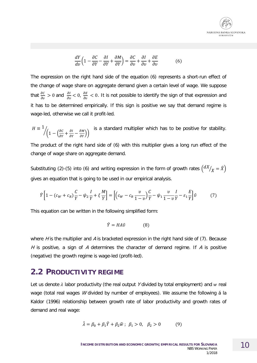$$
\frac{dY}{dv}\left(1 - \frac{\partial C}{\partial Y} - \frac{\partial I}{\partial Y} + \frac{\partial M}{\partial Y}\right) = \frac{\partial C}{\partial v} + \frac{\partial I}{\partial v} + \frac{\partial E}{\partial v}
$$
(6)

The expression on the right hand side of the equation (6) represents a short-run effect of the change of wage share on aggregate demand given a certain level of wage. We suppose that  $\frac{\partial C}{\partial v} > 0$  and  $\frac{\partial I}{\partial v} < 0$ ,  $\frac{\partial E}{\partial v} < 0$ . It is not possible to identify the sign of that expression and it has to be determined empirically. If this sign is positive we say that demand regime is wage-led, otherwise we call it profit-led.

$$
H \equiv \frac{1}{\sqrt{1 - \left(\frac{\partial C}{\partial Y} + \frac{\partial I}{\partial Y} - \frac{\partial M}{\partial Y}\right)}}
$$
 is a standard multiplier which has to be positive for stability.

The product of the right hand side of (6) with this multiplier gives a long run effect of the change of wage share on aggregate demand.

Substituting (2)-(5) into (6) and writing expression in the form of growth rates  $\left(\frac{dX}{x} = \hat{X}\right)$ gives an equation that is going to be used in our empirical analysis.

$$
\hat{Y}\left[1 - (c_W + c_R)\frac{C}{Y} - \psi_2 \frac{I}{Y} + \xi \frac{M}{Y}\right] = \left[\left(c_W - c_R \frac{v}{1-v}\right)\frac{C}{Y} - \psi_1 \frac{v}{1-v}\frac{I}{Y} - \varepsilon_1 \frac{E}{Y}\right]\hat{v}
$$
\n(7)

This equation can be written in the following simplified form:

$$
\hat{Y} = HA\hat{v} \tag{8}
$$

where  $H$  is the multiplier and  $A$  is bracketed expression in the right hand side of (7). Because H is positive, a sign of A determines the character of demand regime. If A is positive (negative) the growth regime is wage-led (profit-led).

#### **2.2 PRODUCTIVITY REGIME**

Let us denote  $\lambda$  labor productivity (the real output Y divided by total employment) and w real wage (total real wages *W* divided by number of employees). We assume the following a la Kaldor (1996) relationship between growth rate of labor productivity and growth rates of demand and real wage:

$$
\hat{\lambda} = \beta_0 + \beta_1 \hat{Y} + \beta_2 \hat{w}; \ \beta_1 > 0, \ \beta_2 > 0 \tag{9}
$$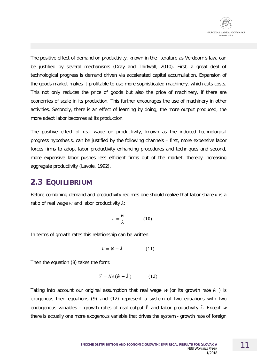The positive effect of demand on productivity, known in the literature as Verdoorn's law, can be justified by several mechanisms (Dray and Thirlwall, 2010). First, a great deal of technological progress is demand driven via accelerated capital accumulation. Expansion of the goods market makes it profitable to use more sophisticated machinery, which cuts costs. This not only reduces the price of goods but also the price of machinery, if there are economies of scale in its production. This further encourages the use of machinery in other activities. Secondly, there is an effect of learning by doing; the more output produced, the more adept labor becomes at its production.

The positive effect of real wage on productivity, known as the induced technological progress hypothesis, can be justified by the following channels – first, more expensive labor forces firms to adopt labor productivity enhancing procedures and techniques and second, more expensive labor pushes less efficient firms out of the market, thereby increasing aggregate productivity (Lavoie, 1992).

### **2.3 EQUILIBRIUM**

Before combining demand and productivity regimes one should realize that labor share  $v$  is a ratio of real wage w and labor productivity  $\lambda$ :

$$
v = \frac{w}{\lambda} \tag{10}
$$

In terms of growth rates this relationship can be written:

$$
\hat{v} = \hat{w} - \hat{\lambda} \tag{11}
$$

Then the equation (8) takes the form:

$$
\hat{Y} = HA(\hat{w} - \hat{\lambda})
$$
 (12)

Taking into account our original assumption that real wage w (or its growth rate  $\hat{w}$ ) is exogenous then equations (9) and (12) represent a system of two equations with two endogenous variables – growth rates of real output  $\hat{Y}$  and labor productivity  $\hat{\lambda}$ . Except w there is actually one more exogenous variable that drives the system - growth rate of foreign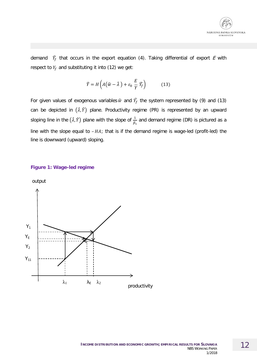

demand  $\widehat{Y}_f$  that occurs in the export equation (4). Taking differential of export E with respect to  $Y_f$  and substituting it into (12) we get:

$$
\hat{Y} = H\left(A(\hat{w} - \hat{\lambda}) + \varepsilon_0 \frac{E}{Y} \hat{Y}_f\right) \tag{13}
$$

For given values of exogenous variables  $\hat{w}$  and  $\hat{Y}_f$  the system represented by (9) and (13) can be depicted in  $(\hat{\lambda}, \hat{Y})$  plane. Productivity regime (PR) is represented by an upward sloping line in the  $(\hat{\lambda}, \hat{Y})$  plane with the slope of  $\frac{1}{\beta_1}$ and demand regime (DR) is pictured as a line with the slope equal to  $-HA$ ; that is if the demand regime is wage-led (profit-led) the line is downward (upward) sloping.

#### **Figure 1: Wage-led regime**

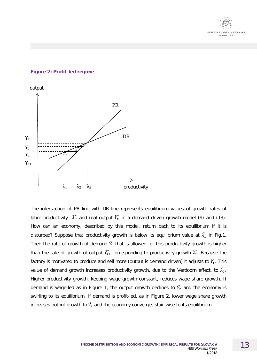

#### **Figure 2: Profit-led regime**



The intersection of PR line with DR line represents equilibrium values of growth rates of labor productivity  $\widehat{\lambda_E}$  and real output  $\widehat{Y_E}$  in a demand driven growth model (9) and (13). How can an economy, described by this model, return back to its equilibrium if it is disturbed? Suppose that productivity growth is below its equilibrium value at  $\widehat{\lambda}_1$  in Fig.1. Then the rate of growth of demand  $\widehat{Y}_1$  that is allowed for this productivity growth is higher than the rate of growth of output  $\widehat{Y_{11}}$  corresponding to productivity growth  $\widehat{\lambda_1}$ . Because the factory is motivated to produce and sell more (output is demand driven) it adjusts to  $\widehat{Y_1}.$  This value of demand growth increases productivity growth, due to the Verdoorn effect, to  $\widehat{\lambda_2}$ . Higher productivity growth, keeping wage growth constant, reduces wage share growth. If demand is wage-led as in Figure 1, the output growth declines to  $\widehat{Y}_2$  and the economy is swirling to its equilibrium. If demand is profit-led, as in Figure 2, lower wage share growth increases output growth to  $\widehat{Y_2}$  and the economy converges stair-wise to its equilibrium.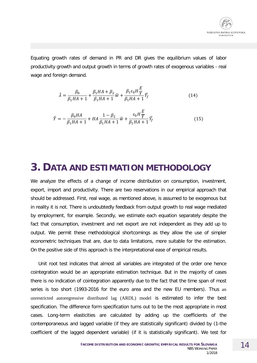

Equating growth rates of demand in PR and DR gives the equilibrium values of labor productivity growth and output growth in terms of growth rates of exogenous variables - real wage and foreign demand.

$$
\hat{\lambda} = \frac{\beta_0}{\beta_1 HA + 1} + \frac{\beta_1 HA + \beta_2}{\beta_1 HA + 1} \hat{w} + \frac{\beta_1 \varepsilon_0 H \frac{E}{Y}}{\beta_1 HA + 1} \hat{Y}_f
$$
(14)

$$
\hat{Y} = -\frac{\beta_0 HA}{\beta_1 HA + 1} + HA \frac{1 - \beta_2}{\beta_1 HA + 1} \hat{w} + \frac{\varepsilon_0 H \frac{E}{Y}}{\beta_1 HA + 1} \hat{Y}_f
$$
\n(15)

### **3. DATA AND ESTIMATION METHODOLOGY**

We analyze the effects of a change of income distribution on consumption, investment, export, import and productivity. There are two reservations in our empirical approach that should be addressed. First, real wage, as mentioned above, is assumed to be exogenous but in reality it is not. There is undoubtedly feedback from output growth to real wage mediated by employment, for example. Secondly, we estimate each equation separately despite the fact that consumption, investment and net export are not independent as they add up to output. We permit these methodological shortcomings as they allow the use of simpler econometric techniques that are, due to data limitations, more suitable for the estimation. On the positive side of this approach is the interpretational ease of empirical results.

Unit root test indicates that almost all variables are integrated of the order one hence cointegration would be an appropriate estimation technique. But in the majority of cases there is no indication of cointegration apparently due to the fact that the time span of most series is too short (1993-2016 for the euro area and the new EU members). Thus an unrestricted autoregressive distributed lag (ARDL) model is estimated to infer the best specification. The difference form specification turns out to be the most appropriate in most cases. Long-term elasticities are calculated by adding up the coefficients of the contemporaneous and lagged variable (if they are statistically significant) divided by (1-the coefficient of the lagged dependent variable) (if it is statistically significant). We test for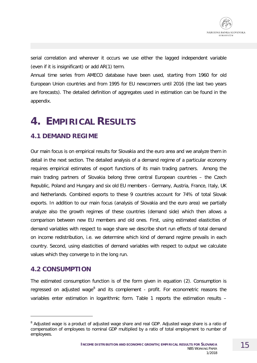serial correlation and wherever it occurs we use either the lagged independent variable (even if it is insignificant) or add AR(1) term.

Annual time series from AMECO database have been used, starting from 1960 for old European Union countries and from 1995 for EU newcomers until 2016 (the last two years are forecasts). The detailed definition of aggregates used in estimation can be found in the appendix.

# **4. EMPIRICAL RESULTS**

### **4.1 DEMAND REGIME**

Our main focus is on empirical results for Slovakia and the euro area and we analyze them in detail in the next section. The detailed analysis of a demand regime of a particular economy requires empirical estimates of export functions of its main trading partners. Among the main trading partners of Slovakia belong three central European countries – the Czech Republic, Poland and Hungary and six old EU members - Germany, Austria, France, Italy, UK and Netherlands. Combined exports to these 9 countries account for 74% of total Slovak exports. In addition to our main focus (analysis of Slovakia and the euro area) we partially analyze also the growth regimes of these countries (demand side) which then allows a comparison between new EU members and old ones. First, using estimated elasticities of demand variables with respect to wage share we describe short run effects of total demand on income redistribution, i.e. we determine which kind of demand regime prevails in each country. Second, using elasticities of demand variables with respect to output we calculate values which they converge to in the long run.

### **4.2 CONSUMPTION**

-

The estimated consumption function is of the form given in equation (2). Consumption is regressed on adjusted wage<sup>[8](#page-14-0)</sup> and its complement - profit. For econometric reasons the variables enter estimation in logarithmic form. Table 1 reports the estimation results –

<span id="page-14-0"></span><sup>&</sup>lt;sup>8</sup> Adjusted wage is a product of adjusted wage share and real GDP. Adjusted wage share is a ratio of compensation of employees to nominal GDP multiplied by a ratio of total employment to number of employees.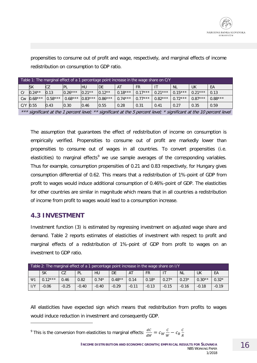

propensities to consume out of profit and wage, respectively, and marginal effects of income redistribution on consumption to GDP ratio.

| Table 1: The marginal effect of a 1 percentage point increase in the wage share on C/Y |           |           |           |           |           |           |           |           |           |           |           |
|----------------------------------------------------------------------------------------|-----------|-----------|-----------|-----------|-----------|-----------|-----------|-----------|-----------|-----------|-----------|
|                                                                                        | <b>SK</b> | CZ        | IPL       | IHU       | IDE       | AT        | FR.       | -IT       | <b>NL</b> | UK        | EA        |
|                                                                                        | $0.24**$  | 0.13      | $0.26***$ | $0.21**$  | $0.12**$  | $0.18***$ | $0.17***$ | $0.21***$ | $0.15***$ | $0.21***$ | 0.13      |
| Cw                                                                                     | $0.68***$ | $0.58***$ | $0.68***$ | $0.83***$ | $0.86***$ | $0.74***$ | $0.77***$ | $0.82***$ | $0.72***$ | $0.87***$ | $0.88***$ |
| $C/Y$ 0.55                                                                             |           | 0.43      | 0.30      | 0.46      | 0.55      | 0.28      | 0.31      | 0.41      | 0.27      | 0.35      | 0.59      |

\*\*\* significant at the 1 percent level; \*\* significant at the 5 percent level; \* significant at the 10 percent level

The assumption that guarantees the effect of redistribution of income on consumption is empirically verified. Propensities to consume out of profit are markedly lower than propensities to consume out of wages in all countries. To convert propensities (i.e. elasticities) to marginal effects<sup>[9](#page-15-0)</sup> we use sample averages of the corresponding variables. Thus for example, consumption propensities of 0.21 and 0.83 respectively, for Hungary gives consumption differential of 0.62. This means that a redistribution of 1%-point of GDP from profit to wages would induce additional consumption of 0.46%-point of GDP. The elasticities for other countries are similar in magnitude which means that in all countries a redistribution of income from profit to wages would lead to a consumption increase.

#### **4.3 INVESTMENT**

-

Investment function (3) is estimated by regressing investment on adjusted wage share and demand. Table 2 reports estimates of elasticities of investment with respect to profit and marginal effects of a redistribution of 1%-point of GDP from profit to wages on an investment to GDP ratio.

| Table 2: The marginal effect of a 1 percentage point increase in the wage share on I/Y |           |         |         |           |           |         |           |         |           |          |         |
|----------------------------------------------------------------------------------------|-----------|---------|---------|-----------|-----------|---------|-----------|---------|-----------|----------|---------|
|                                                                                        | <b>SK</b> | CZ      | PL      | <b>HU</b> | <b>DE</b> | AT      | <b>FR</b> |         | <b>NL</b> | UK       | EA      |
| $\Psi$ 1                                                                               | $0.12***$ | 0.46    | 0.82    | $0.74*$   | $0.48**$  | 0.14    | $0.18*$   | $0.27*$ | $0.23*$   | $0.30**$ | $0.32*$ |
| 1/Y                                                                                    | $-0.06$   | $-0.25$ | $-0.40$ | $-0.40$   | $-0.29$   | $-0.11$ | $-0.13$   | $-0.15$ | $-0.16$   | $-0.18$  | $-0.19$ |

All elasticities have expected sign which means that redistribution from profits to wages would induce reduction in investment and consequently GDP.

<span id="page-15-0"></span><sup>9</sup> This is the conversion from elasticities to marginal effects:  $\frac{dC}{dW} = c_W \frac{C}{W} - c_R \frac{C}{R}$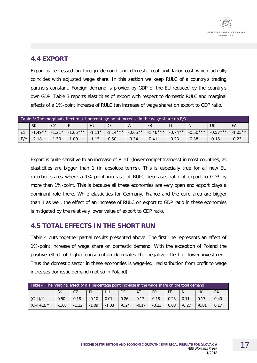#### **4.4 EXPORT**

Export is regressed on foreign demand and domestic real unit labor cost which actually coincides with adjusted wage share. In this section we keep RULC of a country's trading partners constant. Foreign demand is proxied by GDP of the EU reduced by the country's own GDP. Table 3 reports elasticities of export with respect to domestic RULC and marginal effects of a 1%-point increase of RULC (an increase of wage share) on export to GDP ratio.

|                 | Table 3: The marginal effect of a 1 percentage point increase in the wage share on E/Y |          |            |          |            |           |            |           |            |            |           |
|-----------------|----------------------------------------------------------------------------------------|----------|------------|----------|------------|-----------|------------|-----------|------------|------------|-----------|
|                 | <b>SK</b><br>CZ<br>EA<br><b>PL</b><br>HU<br><b>DE</b><br><b>FR</b><br>NL.<br>UK<br>AT  |          |            |          |            |           |            |           |            |            |           |
| $\varepsilon 1$ | $-1.49**$                                                                              | $-1.21*$ | $-1.66***$ | $-1.11*$ | $-1.14***$ | $-0.65**$ | $-1.46***$ | $-0.74**$ | $-0.50***$ | $-0.57***$ | $-1.05**$ |
| E/Y             | $-2.18$                                                                                | $-1.30$  | $-1.00$    | $-1.15$  | $-0.50$    | $-0.34$   | $-0.41$    | $-0.23$   | $-0.38$    | $-0.18$    | $-0.23$   |

Export is quite sensitive to an increase of RULC (lower competitiveness) in most countries, as elasticities are bigger than 1 (in absolute terms). This is especially true for all new EU member states where a 1%-point increase of RULC decreases ratio of export to GDP by more than 1%-point. This is because all these economies are very open and export plays a dominant role there. While elasticities for Germany, France and the euro area are bigger than 1 as well, the effect of an increase of RULC on export to GDP ratio in these economies is mitigated by the relatively lower value of export to GDP ratio.

#### **4.5 TOTAL EFFECTS IN THE SHORT RUN**

Table 4 puts together partial results presented above. The first line represents an effect of 1%-point increase of wage share on domestic demand. With the exception of Poland the positive effect of higher consumption dominates the negative effect of lower investment. Thus the domestic sector in these economies is wage-led; redistribution from profit to wage increases domestic demand (not so in Poland).

| Table 4: The marginal effect of a 1 percentage point increase in the wage share on the total demand                            |           |      |         |      |      |      |      |      |           |      |      |
|--------------------------------------------------------------------------------------------------------------------------------|-----------|------|---------|------|------|------|------|------|-----------|------|------|
|                                                                                                                                | <b>SK</b> | CZ   | PL      | HU   | DE   | AT   | FR   |      | <b>NL</b> | UK   | EA   |
| $(C+1)/Y$                                                                                                                      | 0.50      | 0.18 | $-0.10$ | 0.07 | 0.26 | 0.17 | 0.18 | 0.25 | 0.11      | 0.17 | 0.40 |
| $(C+I+E)/Y$<br>$-0.17$<br>$-0.23$<br>0.17<br>$-1.68$<br>$-1.12$<br>$-1.09$<br>$-1.08$<br>$-0.24$<br>0.03<br>$-0.27$<br>$-0.01$ |           |      |         |      |      |      |      |      |           |      |      |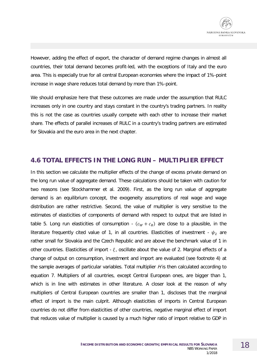However, adding the effect of export, the character of demand regime changes in almost all countries, their total demand becomes profit-led, with the exceptions of Italy and the euro area. This is especially true for all central European economies where the impact of 1%-point increase in wage share reduces total demand by more than 1%-point.

We should emphasize here that these outcomes are made under the assumption that RULC increases only in one country and stays constant in the country's trading partners. In reality this is not the case as countries usually compete with each other to increase their market share. The effects of parallel increases of RULC in a country's trading partners are estimated for Slovakia and the euro area in the next chapter.

#### **4.6 TOTAL EFFECTS IN THE LONG RUN – MULTIPLIER EFFECT**

In this section we calculate the multiplier effects of the change of excess private demand on the long run value of aggregate demand. These calculations should be taken with caution for two reasons (see Stockhammer et al. 2009). First, as the long run value of aggregate demand is an equilibrium concept, the exogeneity assumptions of real wage and wage distribution are rather restrictive. Second, the value of multiplier is very sensitive to the estimates of elasticities of components of demand with respect to output that are listed in table 5. Long run elasticities of consumption -  $(c_W + c_R)$  are close to a plausible, in the literature frequently cited value of 1, in all countries. Elasticities of investment -  $\psi_2$  are rather small for Slovakia and the Czech Republic and are above the benchmark value of 1 in other countries. Elasticities of import -  $\xi$ , oscillate about the value of 2. Marginal effects of a change of output on consumption, investment and import are evaluated (see footnote 4) at the sample averages of particular variables. Total multiplier  $H$  is then calculated according to equation 7. Multipliers of all countries, except Central European ones, are bigger than 1, which is in line with estimates in other literature. A closer look at the reason of why multipliers of Central European countries are smaller than 1, discloses that the marginal effect of import is the main culprit. Although elasticities of imports in Central European countries do not differ from elasticities of other countries, negative marginal effect of import that reduces value of multiplier is caused by a much higher ratio of import relative to GDP in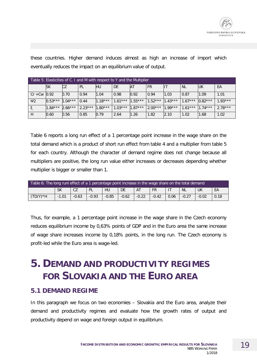| Table 5: Elasticities of C. I and M with respect to Y and the Multiplier |           |           |           |           |           |           |           |           |           |           |           |
|--------------------------------------------------------------------------|-----------|-----------|-----------|-----------|-----------|-----------|-----------|-----------|-----------|-----------|-----------|
|                                                                          | <b>SK</b> | СZ        | PL        | HU        | DE        | <b>AT</b> | <b>FR</b> | ШT        | <b>NL</b> | lυk       | EA        |
| $Cr + Cw$ 0.92                                                           |           | 0.70      | 0.94      | 1.04      | 0.98      | 0.92      | 0.94      | 11.03     | 0.87      | 1.09      | 1.01      |
| $\Psi$ <sub>2</sub>                                                      | $0.53***$ | $1.04***$ | 0.44      | $1.18***$ | $1.61***$ | $1.55***$ | $1.52***$ | $.43***$  | $1.67***$ | $0.82***$ | $1.93***$ |
|                                                                          | $1.84***$ | $2.66***$ | $2.23***$ | $.80***$  | $1.03***$ | $1.87***$ | $2.00***$ | $1.99***$ | $.61***$  | $1.74***$ | $2.78***$ |
| H                                                                        | 0.60      | 0.56      | 0.85      | 0.79      | 2.64      | 1.26      | 1.82      | 2.10      | 1.02      | 1.68      | 1.02      |

these countries. Higher demand induces almost as high an increase of import which eventually reduces the impact on an equilibrium value of output.

Table 6 reports a long run effect of a 1 percentage point increase in the wage share on the total demand which is a product of short run effect from table 4 and a multiplier from table 5 for each country. Although the character of demand regime does not change because all multipliers are positive, the long run value either increases or decreases depending whether multiplier is bigger or smaller than 1.

| Table 6: The long runl effect of a 1 percentage point increase in the wage share on the total demand                          |                                                                         |  |  |  |  |  |  |  |  |  |
|-------------------------------------------------------------------------------------------------------------------------------|-------------------------------------------------------------------------|--|--|--|--|--|--|--|--|--|
|                                                                                                                               | <b>SK</b><br>CZ<br>EA<br>HU<br>DE<br><b>NL</b><br>UK<br>PL<br><b>FR</b> |  |  |  |  |  |  |  |  |  |
| $(TD/Y)*H$<br>$-0.62$<br>$-0.22$<br>$-0.93$<br>$-0.85$<br>$-1.01$<br>$-0.63$<br>$-0.42$<br>0.06<br>$-0.27$<br>$-0.02$<br>0.18 |                                                                         |  |  |  |  |  |  |  |  |  |

Thus, for example, a 1 percentage point increase in the wage share in the Czech economy reduces equilibrium income by 0,63% points of GDP and in the Euro area the same increase of wage share increases income by 0,18% points, in the long run. The Czech economy is profit-led while the Euro area is wage-led.

# **5. DEMAND AND PRODUCTIVITY REGIMES FOR SLOVAKIA AND THE EURO AREA**

#### **5.1 DEMAND REGIME**

In this paragraph we focus on two economies – Slovakia and the Euro area, analyze their demand and productivity regimes and evaluate how the growth rates of output and productivity depend on wage and foreign output in equilibrium.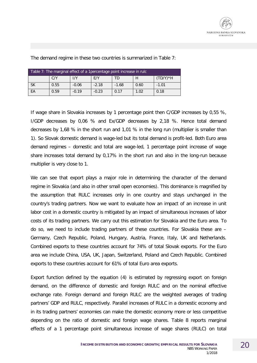

| Table 7: The marginal effect of a Tpercentage point increase in rulc |                                                    |         |         |         |      |         |  |  |  |  |
|----------------------------------------------------------------------|----------------------------------------------------|---------|---------|---------|------|---------|--|--|--|--|
| $(TD/Y)*H$<br>C/Y<br>1/Y<br>E/Y<br>TD                                |                                                    |         |         |         |      |         |  |  |  |  |
| <b>SK</b>                                                            | 0.55                                               | $-0.06$ | $-2.18$ | $-1.68$ | 0.60 | $-1.01$ |  |  |  |  |
| EA                                                                   | 0.17<br>$-0.23$<br>0.18<br>$-0.19$<br>1.02<br>0.59 |         |         |         |      |         |  |  |  |  |

The demand regime in these two countries is summarized in Table 7:

If wage share in Slovakia increases by 1 percentage point then C/GDP increases by 0,55 %, I/GDP decreases by 0,06 % and Ex/GDP decreases by 2,18 %. Hence total demand decreases by 1,68 % in the short run and 1,01 % in the long run (multiplier is smaller than 1). So Slovak domestic demand is wage-led but its total demand is profit-led. Both Euro area demand regimes – domestic and total are wage-led, 1 percentage point increase of wage share increases total demand by 0,17% in the short run and also in the long-run because multiplier is very close to 1.

We can see that export plays a major role in determining the character of the demand regime in Slovakia (and also in other small open economies). This dominance is magnified by the assumption that RULC increases only in one country and stays unchanged in the country's trading partners. Now we want to evaluate how an impact of an increase in unit labor cost in a domestic country is mitigated by an impact of simultaneous increases of labor costs of its trading partners. We carry out this estimation for Slovakia and the Euro area. To do so, we need to include trading partners of these countries. For Slovakia these are – Germany, Czech Republic, Poland, Hungary, Austria, France, Italy, UK and Netherlands. Combined exports to these countries account for 74% of total Slovak exports. For the Euro area we include China, USA, UK, Japan, Switzerland, Poland and Czech Republic. Combined exports to these countries account for 61% of total Euro area exports.

Export function defined by the equation (4) is estimated by regressing export on foreign demand, on the difference of domestic and foreign RULC and on the nominal effective exchange rate. Foreign demand and foreign RULC are the weighted averages of trading partners' GDP and RULC, respectively. Parallel increases of RULC in a domestic economy and in its trading partners' economies can make the domestic economy more or less competitive depending on the ratio of domestic and foreign wage shares. Table 8 reports marginal effects of a 1 percentage point simultaneous increase of wage shares (RULC) on total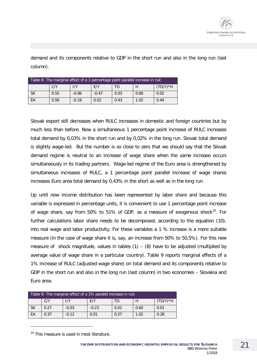demand and its components relative to GDP in the short run and also in the long run (last column).

| Table 8: The marginal effect of a 1 percentage point parallel increase in rulc |      |         |         |      |      |            |  |  |  |
|--------------------------------------------------------------------------------|------|---------|---------|------|------|------------|--|--|--|
|                                                                                | C/Y  | 1/Y     | E/Y     | TD   | H    | $(TD/Y)*H$ |  |  |  |
| SK                                                                             | 0.55 | $-0.06$ | $-0.47$ | 0.03 | 0.60 | 0.02       |  |  |  |
| ЕA                                                                             | 0.59 | $-0.19$ | 0.02    | 0.43 | 1.02 | 0.44       |  |  |  |

Slovak export still decreases when RULC increases in domestic and foreign countries but by much less than before. Now a simultaneous 1 percentage point increase of RULC increases total demand by 0,03% in the short run and by 0,02% in the long run. Slovak total demand is slightly wage-led. But the number is so close to zero that we should say that the Slovak demand regime is neutral to an increase of wage share when the same increase occurs simultaneously in its trading partners. Wage-led regime of the Euro area is strengthened by simultaneous increases of RULC, a 1 percentage point parallel increase of wage shares increases Euro area total demand by 0,43% in the short as well as in the long run.

Up until now income distribution has been represented by labor share and because this variable is expressed in percentage units, it is convenient to use 1 percentage point increase of wage share, say from 50% to 51% of GDP, as a measure of exogenous shock<sup>[10](#page-20-0)</sup>. For further calculations labor share needs to be decomposed, according to the equation (10), into real wage and labor productivity. For these variables a 1 % increase is a more suitable measure (in the case of wage share it is, say, an increase from 50% to 50,5%). For this new measure of shock magnitude, values in tables  $(1) - (8)$  have to be adjusted (multiplied by average value of wage share in a particular country). Table 9 reports marginal effects of a 1% increase of RULC (adjusted wage share) on total demand and its components relative to GDP in the short run and also in the long run (last column) in two economies – Slovakia and Euro area.

| Table 9: The marginal effect of a 1% parallel increase in rulc |                                                 |         |         |      |      |      |  |  |  |  |
|----------------------------------------------------------------|-------------------------------------------------|---------|---------|------|------|------|--|--|--|--|
|                                                                | $(TD/Y)*H$<br>1/Y<br>C/Y<br>F/Y<br>H<br>ΓD      |         |         |      |      |      |  |  |  |  |
| <b>SK</b>                                                      | 0.27                                            | $-0.03$ | $-0.23$ | 0.01 | 0.60 | 0.01 |  |  |  |  |
| EA                                                             | $-0.12$<br>0.28<br>0.37<br>0.01<br>1.02<br>0.27 |         |         |      |      |      |  |  |  |  |

<span id="page-20-0"></span><sup>10</sup> This measure is used in most literature.

-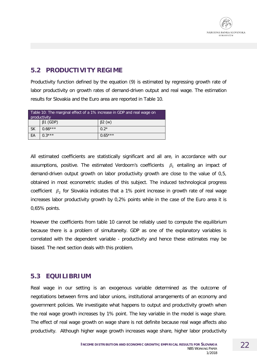

### **5.2 PRODUCTIVITY REGIME**

Productivity function defined by the equation (9) is estimated by regressing growth rate of labor productivity on growth rates of demand-driven output and real wage. The estimation results for Slovakia and the Euro area are reported in Table 10.

|           | Table 10: The marginal effect of a 1% increase in GDP and real wage on<br>productivity |           |  |  |  |  |  |
|-----------|----------------------------------------------------------------------------------------|-----------|--|--|--|--|--|
|           | $\beta$ 1 (GDP)<br>$\beta$ 2 (w)                                                       |           |  |  |  |  |  |
| <b>SK</b> | $0.66***$                                                                              | $0.2*$    |  |  |  |  |  |
| EA        | $0.3***$                                                                               | $0.65***$ |  |  |  |  |  |

All estimated coefficients are statistically significant and all are, in accordance with our assumptions, positive. The estimated Verdoorn's coefficients  $\beta_1$  entailing an impact of demand-driven output growth on labor productivity growth are close to the value of 0,5, obtained in most econometric studies of this subject. The induced technological progress coefficient  $\beta_2$  for Slovakia indicates that a 1% point increase in growth rate of real wage increases labor productivity growth by 0,2% points while in the case of the Euro area it is 0,65% points.

However the coefficients from table 10 cannot be reliably used to compute the equilibrium because there is a problem of simultaneity. GDP as one of the explanatory variables is correlated with the dependent variable - productivity and hence these estimates may be biased. The next section deals with this problem.

#### **5.3 EQUILIBRIUM**

Real wage in our setting is an exogenous variable determined as the outcome of negotiations between firms and labor unions, institutional arrangements of an economy and government policies. We investigate what happens to output and productivity growth when the real wage growth increases by 1% point. The key variable in the model is wage share. The effect of real wage growth on wage share is not definite because real wage affects also productivity. Although higher wage growth increases wage share, higher labor productivity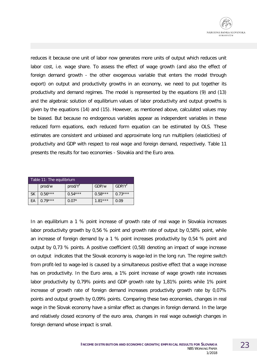reduces it because one unit of labor now generates more units of output which reduces unit labor cost, i.e. wage share. To assess the effect of wage growth (and also the effect of foreign demand growth - the other exogenous variable that enters the model through export) on output and productivity growths in an economy, we need to put together its productivity and demand regimes. The model is represented by the equations (9) and (13) and the algebraic solution of equilibrium values of labor productivity and output growths is given by the equations (14) and (15). However, as mentioned above, calculated values may be biased. But because no endogenous variables appear as independent variables in these reduced form equations, each reduced form equation can be estimated by OLS. These estimates are consistent and unbiased and approximate long run multipliers (elasticities) of productivity and GDP with respect to real wage and foreign demand, respectively. Table 11 presents the results for two economies - Slovakia and the Euro area.

| Table 11: The equilibrium |                                           |                     |           |                   |  |  |  |  |  |
|---------------------------|-------------------------------------------|---------------------|-----------|-------------------|--|--|--|--|--|
|                           | prod/w                                    | prod/Y <sup>f</sup> | GDP/w     | $GDP/Y^{\dagger}$ |  |  |  |  |  |
| <b>SK</b>                 | $0.56***$                                 | $0.54***$           | $0.58***$ | $0.73***$         |  |  |  |  |  |
| EA                        | $1.81***$<br>$0.79***$<br>$0.07*$<br>0.09 |                     |           |                   |  |  |  |  |  |

In an equilibrium a 1 % point increase of growth rate of real wage in Slovakia increases labor productivity growth by 0,56 % point and growth rate of output by 0,58% point, while an increase of foreign demand by a 1 % point increases productivity by 0,54 % point and output by 0,73 % points. A positive coefficient (0,58) denoting an impact of wage increase on output indicates that the Slovak economy is wage-led in the long run. The regime switch from profit-led to wage-led is caused by a simultaneous positive effect that a wage increase has on productivity. In the Euro area, a 1% point increase of wage growth rate increases labor productivity by 0,79% points and GDP growth rate by 1,81% points while 1% point increase of growth rate of foreign demand increases productivity growth rate by 0,07% points and output growth by 0,09% points. Comparing these two economies, changes in real wage in the Slovak economy have a similar effect as changes in foreign demand. In the large and relatively closed economy of the euro area, changes in real wage outweigh changes in foreign demand whose impact is small.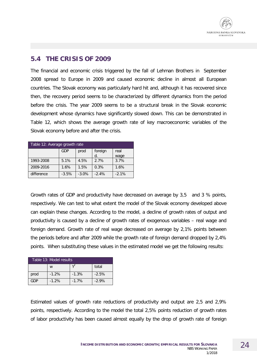#### **5.4 THE CRISIS OF 2009**

The financial and economic crisis triggered by the fall of Lehman Brothers in September 2008 spread to Europe in 2009 and caused economic decline in almost all European countries. The Slovak economy was particularly hard hit and, although it has recovered since then, the recovery period seems to be characterized by different dynamics from the period before the crisis. The year 2009 seems to be a structural break in the Slovak economic development whose dynamics have significantly slowed down. This can be demonstrated in Table 12, which shows the average growth rate of key macroeconomic variables of the Slovak economy before and after the crisis.

| Table 12: Average growth rate |            |         |         |         |  |  |  |  |  |  |
|-------------------------------|------------|---------|---------|---------|--|--|--|--|--|--|
|                               | GDP        | prod    | foreign | real    |  |  |  |  |  |  |
|                               | d.<br>wage |         |         |         |  |  |  |  |  |  |
| 1993-2008                     | 5.1%       | 4.5%    | 2.7%    | 3.7%    |  |  |  |  |  |  |
| 2009-2016                     | 1.6%       | 1.5%    | 0.3%    | 1.6%    |  |  |  |  |  |  |
| difference                    | $-3.5%$    | $-3.0%$ | $-2.4%$ | $-2.1%$ |  |  |  |  |  |  |

Growth rates of GDP and productivity have decreased on average by 3,5 and 3 % points, respectively. We can test to what extent the model of the Slovak economy developed above can explain these changes. According to the model, a decline of growth rates of output and productivity is caused by a decline of growth rates of exogenous variables – real wage and foreign demand. Growth rate of real wage decreased on average by 2,1% points between the periods before and after 2009 while the growth rate of foreign demand dropped by 2,4% points. When substituting these values in the estimated model we get the following results:

| Table 13: Model results |         |         |         |
|-------------------------|---------|---------|---------|
|                         | W       |         | total   |
| prod                    | $-1.2%$ | $-1.3%$ | $-2.5%$ |
| GDP                     | $-1.2%$ | $-1.7%$ | $-2.9%$ |

Estimated values of growth rate reductions of productivity and output are 2,5 and 2,9% points, respectively. According to the model the total 2,5% points reduction of growth rates of labor productivity has been caused almost equally by the drop of growth rate of foreign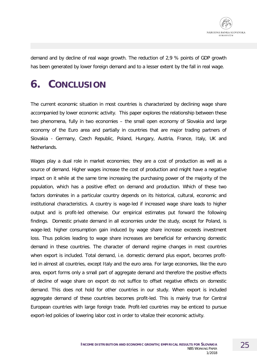

demand and by decline of real wage growth. The reduction of 2,9 % points of GDP growth has been generated by lower foreign demand and to a lesser extent by the fall in real wage.

# **6. CONCLUSION**

The current economic situation in most countries is characterized by declining wage share accompanied by lower economic activity. This paper explores the relationship between these two phenomena, fully in two economies – the small open economy of Slovakia and large economy of the Euro area and partially in countries that are major trading partners of Slovakia - Germany, Czech Republic, Poland, Hungary, Austria, France, Italy, UK and Netherlands.

Wages play a dual role in market economies; they are a cost of production as well as a source of demand. Higher wages increase the cost of production and might have a negative impact on it while at the same time increasing the purchasing power of the majority of the population, which has a positive effect on demand and production. Which of these two factors dominates in a particular country depends on its historical, cultural, economic and institutional characteristics. A country is wage-led if increased wage share leads to higher output and is profit-led otherwise. Our empirical estimates put forward the following findings. Domestic private demand in all economies under the study, except for Poland, is wage-led; higher consumption gain induced by wage share increase exceeds investment loss. Thus policies leading to wage share increases are beneficial for enhancing domestic demand in these countries. The character of demand regime changes in most countries when export is included. Total demand, i.e. domestic demand plus export, becomes profitled in almost all countries, except Italy and the euro area. For large economies, like the euro area, export forms only a small part of aggregate demand and therefore the positive effects of decline of wage share on export do not suffice to offset negative effects on domestic demand. This does not hold for other countries in our study. When export is included aggregate demand of these countries becomes profit-led. This is mainly true for Central European countries with large foreign trade. Profit-led countries may be enticed to pursue export-led policies of lowering labor cost in order to vitalize their economic activity.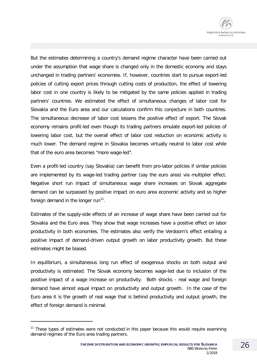But the estimates determining a country's demand regime character have been carried out under the assumption that wage share is changed only in the domestic economy and stays unchanged in trading partners' economies. If, however, countries start to pursue export-led policies of cutting export prices through cutting costs of production, the effect of lowering labor cost in one country is likely to be mitigated by the same policies applied in trading partners' countries. We estimated the effect of simultaneous changes of labor cost for Slovakia and the Euro area and our calculations confirm this conjecture in both countries. The simultaneous decrease of labor cost lessens the positive effect of export. The Slovak economy remains profit-led even though its trading partners emulate export-led policies of lowering labor cost, but the overall effect of labor cost reduction on economic activity is much lower. The demand regime in Slovakia becomes virtually neutral to labor cost while that of the euro area becomes "more wage-led".

Even a profit-led country (say Slovakia) can benefit from pro-labor policies if similar policies are implemented by its wage-led trading partner (say the euro area) via multiplier effect. Negative short run impact of simultaneous wage share increases on Slovak aggregate demand can be surpassed by positive impact on euro area economic activity and so higher foreign demand in the longer run<sup>[11](#page-25-0)</sup>.

Estimates of the supply-side effects of an increase of wage share have been carried out for Slovakia and the Euro area. They show that wage increases have a positive effect on labor productivity in both economies. The estimates also verify the Verdoorn's effect entailing a positive impact of demand-driven output growth on labor productivity growth. But these estimates might be biased.

In equilibrium, a simultaneous long run effect of exogenous shocks on both output and productivity is estimated. The Slovak economy becomes wage-led due to inclusion of the positive impact of a wage increase on productivity. Both shocks - real wage and foreign demand have almost equal impact on productivity and output growth. In the case of the Euro area it is the growth of real wage that is behind productivity and output growth, the effect of foreign demand is minimal.

-

<span id="page-25-0"></span> $11$  These types of estimates were not conducted in this paper because this would require examining demand regimes of the Euro area trading partners.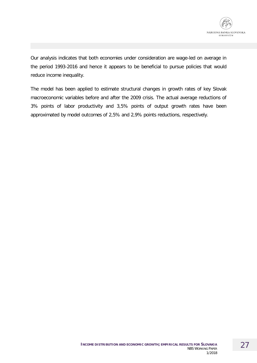

Our analysis indicates that both economies under consideration are wage-led on average in the period 1993-2016 and hence it appears to be beneficial to pursue policies that would reduce income inequality.

The model has been applied to estimate structural changes in growth rates of key Slovak macroeconomic variables before and after the 2009 crisis. The actual average reductions of 3% points of labor productivity and 3,5% points of output growth rates have been approximated by model outcomes of 2,5% and 2,9% points reductions, respectively.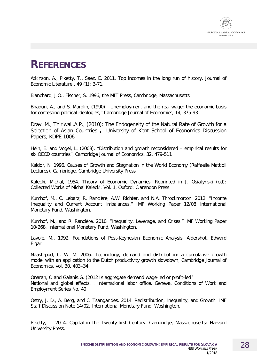

### **REFERENCES**

Atkinson, A., Piketty, T., Saez, E. 2011. Top incomes in the long run of history. Journal of Economic Literature,. 49 (1): 3-71.

Blanchard, J.O., Fischer, S. 1996, the MIT Press, Cambridge, Massachusetts

Bhaduri, A., and S. Marglin, (1990). "Unemployment and the real wage: the economic basis for contesting political ideologies," Cambridge Journal of Economics, 14, 375-93

Dray, M., Thirlwall,A.P., (2010): The Endogeneity of the Natural Rate of Growth for a Selection of Asian Countries **,** University of Kent School of Economics Discussion Papers, KDPE 1006

Hein, E. and Vogel, L. (2008). "Distribution and growth reconsidered – empirical results for six OECD countries", Cambridge Journal of Economics, 32, 479-511

Kaldor, N. 1996. Causes of Growth and Stagnation in the World Economy (Raffaelle Mattioli Lectures), Cambridge, Cambridge University Press

Kalecki, Michal, 1954. Theory of Economic Dynamics. Reprinted in J. Osiatynski (ed): Collected Works of Michal Kalecki, Vol. 1, Oxford: Clarendon Press

Kumhof, M., C. Lebarz, R. Rancière, A.W. Richter, and N.A. Throckmorton. 2012. "Income Inequality and Current Account Imbalances." IMF Working Paper 12/08 International Monetary Fund, Washington.

Kumhof, M., and R. Rancière. 2010. "Inequality, Leverage, and Crises." IMF Working Paper 10/268, International Monetary Fund, Washington.

Lavoie, M., 1992. Foundations of Post-Keynesian Economic Analysis. Aldershot, Edward Elgar.

Naastepad, C. W. M. 2006. Technology, demand and distribution: a cumulative growth model with an application to the Dutch productivity growth slowdown, Cambridge Journal of Economics, vol. 30, 403–34

Onaran, Ö.and Galanis.G. (2012 Is aggregate demand wage-led or profit-led? National and global effects, . International labor office, Geneva, Conditions of Work and Employment Series No. 40

Ostry, J. D., A. Berg, and C. Tsangarides. 2014. Redistribution, Inequality, and Growth. IMF Staff Discussion Note 14/02, International Monetary Fund, Washington.

Piketty, T. 2014. Capital in the Twenty-first Century. Cambridge, Massachusetts: Harvard University Press.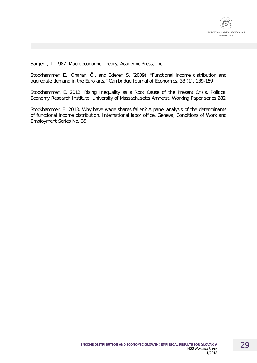

Sargent, T. 1987. Macroeconomic Theory, Academic Press, Inc

Stockhammer, E., Onaran, Ö., and Ederer, S. (2009), "Functional income distribution and aggregate demand in the Euro area" Cambridge Journal of Economics, 33 (1), 139-159

Stockhammer, E. 2012. Rising Inequality as a Root Cause of the Present Crisis. Political Economy Research Institute, University of Massachusetts Amherst, Working Paper series 282

Stockhammer, E. 2013. Why have wage shares fallen? A panel analysis of the determinants of functional income distribution. International labor office, Geneva, Conditions of Work and Employment Series No. 35